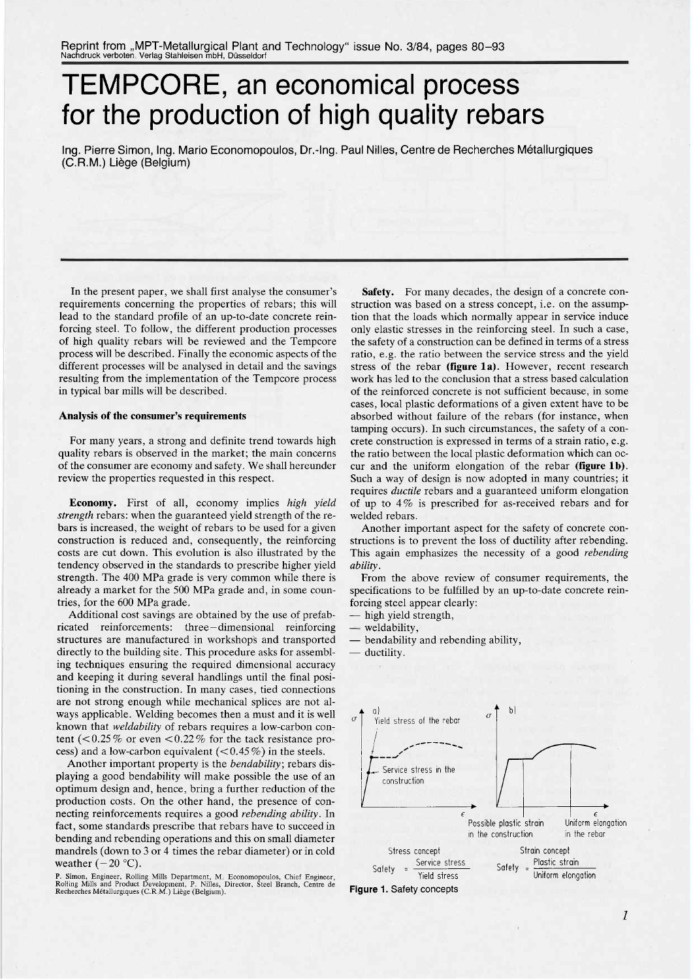# TEMPCORE, an economical process for the production of high quality rebars

Ing. Pierre Simon, Ing. Mario Economopoulos, Dr.-Ing. Paul Nilles, Centre de Recherches Métallurgiques (C.R.M.) Liège (Belgium)

In the present paper, we shall first analyse the consumer's requirements concerning the properties of rebars; this will lead to the standard profile of an up-to-date concrete reinforcing steel. To follow, the different production processes of high quality rebars wil be reviewed and the Tempcore process will be described. Finally the economic aspects of the different processes will be analysed in detail and the savings resulting from the implementation of the Tempcore process in typical bar mills will be described.

## Analysis of the consumer's requirements

For many years, a strong and definite trend towards high quality rebars is observed in the market; the main concerns of the consumer are economy and safety. We shall hereunder review the properties requested in this respect.

Economy. First of all, economy implies high yield strength rebars: when the guaranteed yield strength of the rebars is increased, the weight of rebars to be used for a given construction is reduced and, consequently, the reinforcing costs are cut down. This evolution is álso illustrated by the tendency observed in the standards to prescribe higher yield strength. The 400 MPa grade is very common while there is already a market for the 500 MPa grade and, in some countries, for the 600 MPa grade.

Additional cost savings are obtained by the use of prefabricated reinforcements: three-dimensional reinforcing structures are manufactured in workshops and transported directly to the building site. This procedure asks for assembling techniques ensuring the required dimensional accuracy and keeping it during several handlings until the final positioning in the construction. In many cases, tied connections are not strong enough while mechanical splices are not always applicable. Welding becomes then a must and it is well known that weldability of rebars requires a low-carbon content ( $< 0.25\%$  or even  $< 0.22\%$  for the tack resistance process) and a low-carbon equivalent  $(< 0.45\%)$  in the steels.

Another important property is the *bendability*; rebars displaying a good bendability will make possible the use of an optimum design and, hence, bring a further reduction of the production costs. On the other hand, the presence of connecting reinforcements requires a good rebending ability. In fact, some standards prescribe that rebars have to succeed in bending and rebending operations and this on small diameter mandrels (down to 3 or 4 times the rebar diameter) or in cold weather  $(-20 °C)$ .

P. Simon, Engineer, Rolling Mils Department, M. Economopoulos, Chief Engineer, Rolling Mils and Product Development, P. Nilles, Director, Steel Branch, Centre de Recherches Métallurgiques (C.R.M.) Liège (Belgium).

Safety. For many decades, the design of a concrete construction was based on a stress concept, i.e. on the assumption that the loads which normally appear in service induce only elastic stresses in the reinforcing steel. In such a case, the safety of a construction can be defined in terms of a stress ratio, e.g. the ratio between the service stress and the yield stress of the rebar (figure 1a). However, recent research work has led to the conclusion that a stress based calculation of the reinforced concrete is not sufficient because, in some cases, local plastic deformations of a given extent have to be absorbed without failure of the rebars (for instance, when tamping occurs). In such circumstances, the safety of a concrete construction is expressed in terms of a strain ratio, e.g. the ratio between the local plastic deformation which can occur and the uniform elongation of the rebar (figure 1b). Such a way of design is now adopted in many countries; it requires ductile rebars and a guaranteed uniform elongation of up to 4 % is prescribed for as-received rebars and for welded rebars.

Another important aspect for the safety of concrete constructions is to prevent the loss of ductility after rebending. This again emphasizes the necessity of a good rebending ability.

. From the above review of consumer requirements, the specifications to be fulfiled by an up-to-date concrete reinforcing steel appear clearly:

- high yield strength,
- weldability,
- bendability and rebending ability,
- ductility.



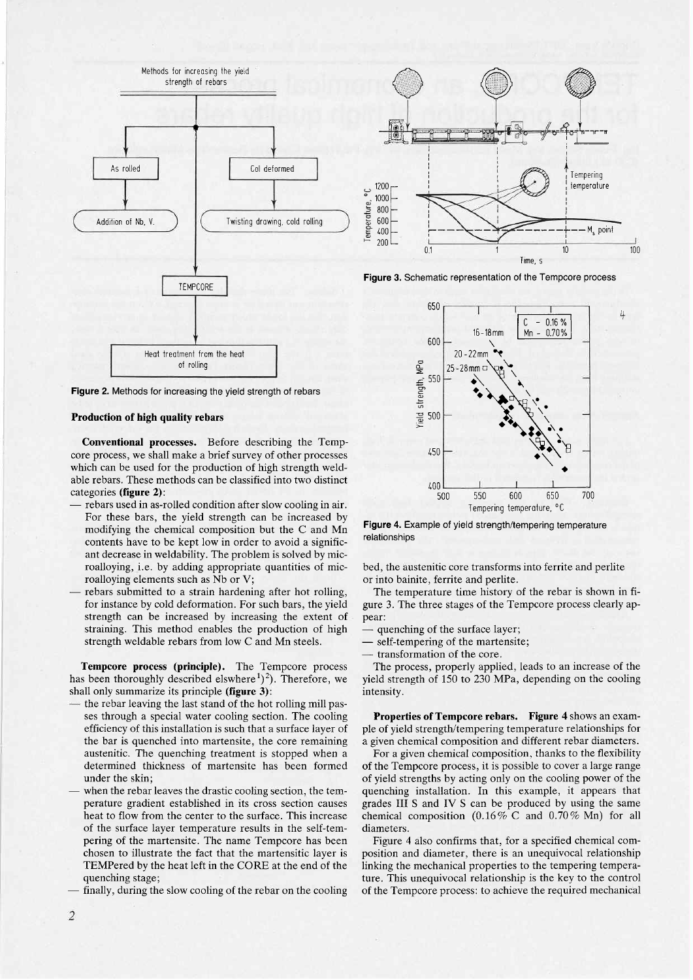

Figure 2. Methods for increasing the yield strength of rebars

## Production of high quality rebars

Conventional processes. Before describing the Tempcore process, we shall make a brief survey of other processes which can be used for the production of high strength weldable rebars. These methods can be classified into two distinct categories (figure 2):

- rebars used in as-rolled condition after slow cooling in air. For these bars, the yield strength can be increased by modifying the chemical composition but the C and Mn contents have to be kept low in order to avoid a significant decrease in weldability. The problem is solved by microalloying, i.e. by adding appropriate quantities of microalloying elements such as Nb or V;
- rebars submitted to a strain hardening after hot rolling, for instance by cold deformation. For such bars, the yield strength can be increased by increasing the extent of straining. This method enables the production of high strength weldable rebars from low C and Mn steels.

Tempcore process (principle). The Tempcore process has been thoroughly described elswhere<sup>1</sup>)<sup>2</sup>). Therefore, we shall only summarize its principle (figure 3):

- the rebar leaving the last stand of the hot rolling mill passes through a special water cooling section. The cooling efficiency of this installation is such that a surface layer of the bar is quenched into martensite, the core remaining austenitic. The quenching treatment is stopped when a determined thickness of martensite has been formed under the skin;
- when the rebar leaves the drastic cooling section, the temperature gradient established in its cross section causes heat to flow from the center to the surface. This increase of the surface layer temperature results in the self-tempering of the martensite. The name Tempcore has been chosen to ilustrate the fact that the martensitic layer is TEMPered by the heat left in the CORE at the end of the quenching stage;
- finally, during the slow cooling of the rebar on the cooling



Figure 3. Schematic representation of the Tempcore process



Figure 4. Example of yield strength/tempering temperature relationships

bed, the austenitic core transforms into ferrite and perlite or into bainite, ferrite and perlite.

The temperature time history of the rebar is shown in figure 3. The three stages of the Tempcore process clearly appear:

quenching of the surface layer;

- self-tempering of the martensite;

- transformation of the core.

The process, properly applied, leads to an increase of the yield strength of 150 to 230 MPa, depending on the cooling intensity.

Properties of Tempcore rebars. Figure 4 shows an example of yield strength/tempering temperature relationships for a given chemical composition and different rebar diameters.

For a given chemical composition, thanks to the flexibility of the Tempcore process, it is possible to cover a large range of yield strengths by acting only on the cooling power of the quenching installation. In this example, it appears that grades III S and IV S can be produced by using the same chemical composition  $(0.16\%$  C and  $0.70\%$  Mn) for all diameters.

Figure 4 also confirms that, for a specified chemical composition and diameter, there is an unequivocal relationship linking the mechanical properties to the tempering temperature. This unequivocal relationship is the key to the control of the Tempcore process: to achieve the required mechanical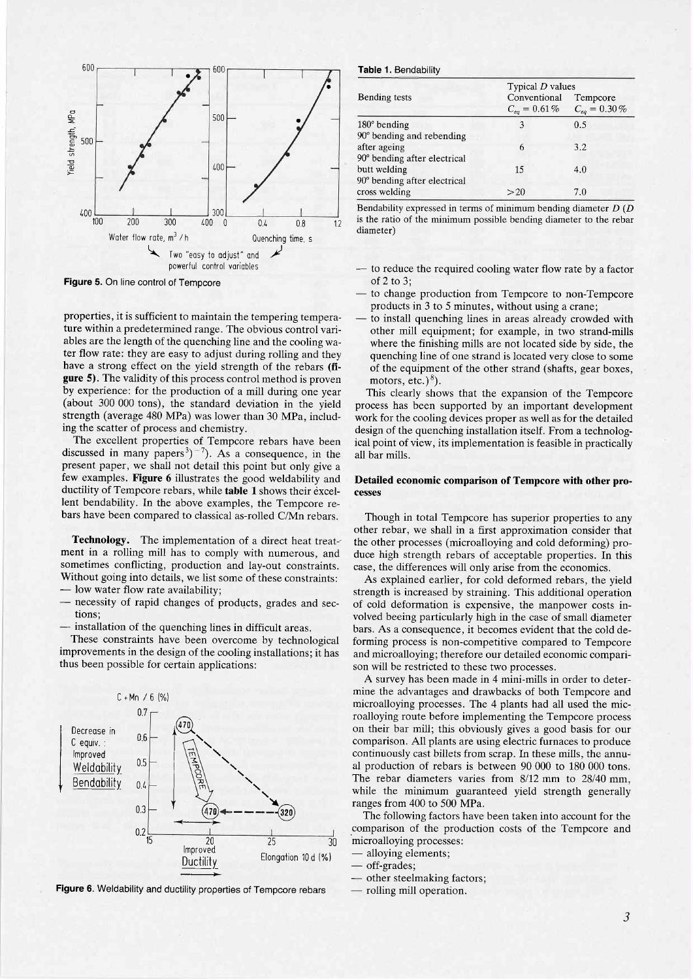

Figure 5. On line control of Tempcore

properties, it is sufficient to maintain the tempering temperature within a predetermined range. The obvious control variables are the length of the quenching line and the cooling water flow rate: they are easy to adjust during rolling and they have a strong effect on the yield strength of the rebars (fi**gure 5)**. The validity of this process control method is proven by experience: for the production of a mill during one year (about 300 000 tons), the standard deviation in the yield strength (average 480 MPa) was lower than 30 MPa, including the scatter of process and chemistry.

The excellent properties of Tempcore rebars have been discussed in many papers<sup>3</sup> $)^{-7}$ ). As a consequence, in the present paper, we shall not detail this point but only give a few examples. Figure 6 illustrates the good weldability and ductility of Tempcore rebars, while table 1 shows their excellent bendability. In the above examples, the Tempcore rebars have been compared to classical as-rolled C/Mn rebars.

Technology. The implementation of a direct heat treatment in a rolling mill has to comply with numerous, and sometimes conflicting, production and lay-out constraints. Without going into details, we list some of these constraints: - low water flow rate availability;

- necessity of rapid changes of products, grades and sections:
- installation of the quenching lines in difficult areas.

These constraints have been overcome by technological improvements in the design of the cooling installations; it has thus been possible for certain applications:



Figure 6. Weldability and ductility properties of Tempcore rebars

#### Table 1. Bendability

|                              | Typical $D$ values                |                               |  |  |
|------------------------------|-----------------------------------|-------------------------------|--|--|
| Bending tests                | Conventional<br>$C_{eq} = 0.61\%$ | Tempcore<br>$C_{eq} = 0.30\%$ |  |  |
| $180^\circ$ bending          | 3                                 | 0.5                           |  |  |
| 90° bending and rebending    |                                   |                               |  |  |
| after ageing                 | 6                                 | 3.2                           |  |  |
| 90° bending after electrical |                                   |                               |  |  |
| butt welding                 | 15                                | 4.0                           |  |  |
| 90° bending after electrical |                                   |                               |  |  |
| cross welding                | >20                               | 7.0                           |  |  |

Bendability expressed in terms of minimum bending diameter  $D(D)$ is the ratio of the minimum possible bending diameter to the rebar diameter)

- -- to reduce the required cooling water flow rate by a factor of  $2$  to  $3$ :
- to change production from Tempcore to non-Tempcore products in 3 to 5 minutes, without using a crane;
- to install quenching lines in areas already crowded with other mill equipment; for example, in two strand-mills where the finishing mills are not located side by side, the quenching line of one strand is located very close to some of the equipment of the other strand (shafts, gear boxes, motors, etc.) $^{8}$ ).

This clearly shows that the expansion of the Tempcore process has been supported by an important development work for the cooling devices proper as well as for the detailed design of the quenching installation itself. From a technological point of view, its implementation is feasible in practically all bar mills.

## Detailed economic comparison of Tempcore with other processes

Though in total Tempcore has superior properties to any other rebar, we shall in a first approximation consider that the other processes (microalloying and cold deforming) produce high strength rebars of acceptable properties. In this case, the differences will only arise from the economics.

As explained earlier, for cold deformed rebars, the yield strength is increased by straining. This additional operation of cold deformation is expensive, the manpower costs involved beeing particularly high in the case of small diameter bars. As a consequence, it becomes evident that the cold deforming process is non-competitive compared to Tempcore and microalloying; therefore our detailed economic comparison will be restricted to these two processes.

A survey has been made in 4 mini-mills in order to determine the advantages and drawbacks of both Tempcore and microalloying processes. The 4 plants had all used the microalloying route before implementing the Tempcore process on their bar mill; this obviously gives a good basis for our comparison. All plants are using electric furnaces to produce continuously cast billets from scrap. In these mills, the annual production of rebars is between 90 000 to 180 000 tons. The rebar diameters varies from 8/12 mm to 28/40 mm, while the minimum guaranteed yield strength generally ranges from 400 to 500 MPa.

The following factors have been taken into account for the comparison of the production costs of the Tempcore and microalloying processes:

alloying elements;

— off-grades;

- other steelmaking factors;

- rolling mill operation.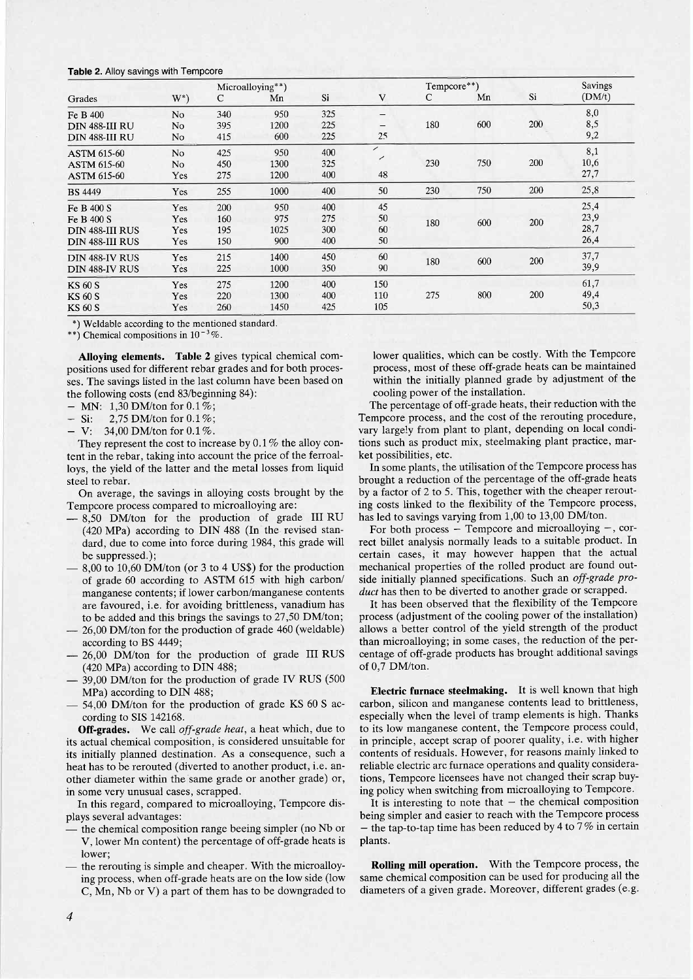### Table 2. Alloy savings with Tempcore

| Microalloying**)       |                |     |      | Tempcore**) |                          |     | Savings |     |        |
|------------------------|----------------|-----|------|-------------|--------------------------|-----|---------|-----|--------|
| Grades                 | $W^*$          | C   | Mn   | Si          | $\mathbf{V}$             | C   | Mn      | Si  | (DM/t) |
| Fe B 400               | N <sub>o</sub> | 340 | 950  | 325         | —                        |     |         |     | 8,0    |
| DIN 488-III RU         | No             | 395 | 1200 | 225         | —                        | 180 | 600     | 200 | 8,5    |
| DIN 488-III RU         | No             | 415 | 600  | 225         | 25                       |     |         |     | 9,2    |
| <b>ASTM 615-60</b>     | N <sub>o</sub> | 425 | 950  | 400         | $\overline{\phantom{a}}$ |     |         |     | 8,1    |
| <b>ASTM 615-60</b>     | No             | 450 | 1300 | 325         |                          | 230 | 750     | 200 | 10,6   |
| <b>ASTM 615-60</b>     | Yes            | 275 | 1200 | 400         | 48                       |     |         |     | 27,7   |
| <b>BS</b> 4449         | Yes            | 255 | 1000 | 400         | 50                       | 230 | 750     | 200 | 25,8   |
| Fe B 400 S             | Yes            | 200 | 950  | 400         | 45                       |     |         |     | 25,4   |
| Fe B 400 S             | Yes            | 160 | 975  | 275         | 50                       | 180 | 600     | 200 | 23,9   |
| <b>DIN 488-III RUS</b> | Yes            | 195 | 1025 | 300         | 60                       |     |         |     | 28,7   |
| DIN 488-III RUS        | Yes            | 150 | 900  | 400         | 50                       |     |         |     | 26,4   |
| <b>DIN 488-IV RUS</b>  | Yes            | 215 | 1400 | 450         | 60                       | 180 | 600     | 200 | 37,7   |
| DIN 488-IV RUS         | Yes            | 225 | 1000 | 350         | 90                       |     |         |     | 39,9   |
| <b>KS 60 S</b>         | Yes            | 275 | 1200 | 400         | 150                      |     |         |     | 61,7   |
| <b>KS 60 S</b>         | Yes            | 220 | 1300 | 400         | 110                      | 275 | 800     | 200 | 49,4   |
| <b>KS 60 S</b>         | Yes            | 260 | 1450 | 425         | 105                      |     |         |     | 50,3   |

\*) Weldable according to the mentioned standard.

\*\*) Chemical compositions in  $10^{-3}\%$ .

Alloying elements. Table 2 gives typical chemical compositions used for different rebar grades and for both processes. The savings listed in the last column have been based on the following costs (end 83/beginning 84):

- MN: 1,30 DM/ton for  $0.1\%$ ;<br>- Si: 2.75 DM/ton for  $0.1\%$ ;

2,75 DM/ton for 0.1%;

 $V: 34,00$  DM/ton for  $0.1\%$ .

They represent the cost to increase by 0.1 % the alloy content in the rebar, taking into account the price of the ferroalloys, the yield of the latter and the metal losses from liquid steel to rebar.

On average, the savings in alloying costs brought by the Tempcore process compared to microalloying are:

- 8,50 DM/ton for the production of grade III RU (420 MPa) according to DIN 488 (In the revised standard, due to come into force during 1984, this grade will be suppressed.);
- 8,00 to 10,60 DM/ton (or 3 to 4 US\$) for the production of grade 60 according to ASTM 615 with high carbon/ manganese contents; if lower carbon/manganese contents are favoured, i.e. for avoiding brittleness, vanadium has to be added and this brings the savings to 27,50 DM/ton;
- 26,00 DM/ton for the production of grade 460 (weldable) according to BS 4449;
- 26,00 DM/ton for the production of grade III RUS (420 MPa) according to DIN 488;
- 39,00 DM/ton for the production of grade IV RUS (500 MPa) according to DIN 488;
- 54,00 DM/ton for the production of grade KS 60 S according to SIS 142168.

Off-grades. We call off-grade heat, a heat which, due to its actual chemical composition, is considered unsuitable for its initially planned destination. As a consequence, such a heat has to be rerouted (diverted to another product, i.e. another diameter within the same grade or another grade) or, in some very unusual cases, scrapped.

In this regard, compared to microalloying, Tempcore displays several advantages:

- the chemical composition range beeing simpler (no Nb or V, lower Mn content) the percentage of off-grade heats is lower;
- the rerouting is simple and cheaper. With the microalloying process, when off-grade heats are on the low side (low C, Mn, Nb or V) a part of them has to be downgraded to

lower qualities, which can be costly. With the Tempcore process, most of these off-grade heats can be maintained within the initially planned grade by adjustment of the cooling power of the installation.

The percentage of off-grade heats, their reduction with the Tempcore process, and the cost of the rerouting procedure, vary largely from plant to plant, depending on local conditions such as product mix, steelmaking plant practice, market possibilities, etc.

In some plants, the utilisation of the Tempcore process has brought a reduction of the percentage of the off-grade heats by a factor of 2 to 5. This, together with the cheaper rerouting costs linked to the flexibility of the Tempcore process, has led to savings varying from 1,00 to 13,00 DM/ton.

For both process  $-$  Tempcore and microalloying  $-$ , correct billet analysis normally leads to a suitable product. In certain cases, it may however happen that the actual mechanical properties of the rolled product are found outside initially planned specifications. Such an off-grade product has then to be diverted to another grade or scrapped.

It has been observed that the flexibility of the Tempcore process (adjustment of the cooling power of the installation) allows a better control of the yield strength of the product than microalloying; in some cases, the reduction of the percentage of off-grade products has brought additional savings of 0,7 DM/ton.

Electric furnace steelmaking. It is well known that high carbon, silicon and manganese contents lead to brittleness, especially when the level of tramp elements is high. Thanks to its low manganese content, the Tempcore process could, in principle, accept scrap of poorer quality, i.e. with higher contents of residuals. However, for reasons mainly linked to reliable electric arc furnace operations and quality considerations, Tempcore licensees have not changed their scrap buying policy when switching from microalloying to Tempcore.

It is interesting to note that  $-$  the chemical composition being simpler and easier to reach with the Tempcore process - the tap-to-tap time has been reduced by 4 to  $7\%$  in certain plants.

Rolling mill operation. With the Tempcore process, the same chemical composition can be used for producing all the diameters of a given grade. Moreover, different grades (e.g.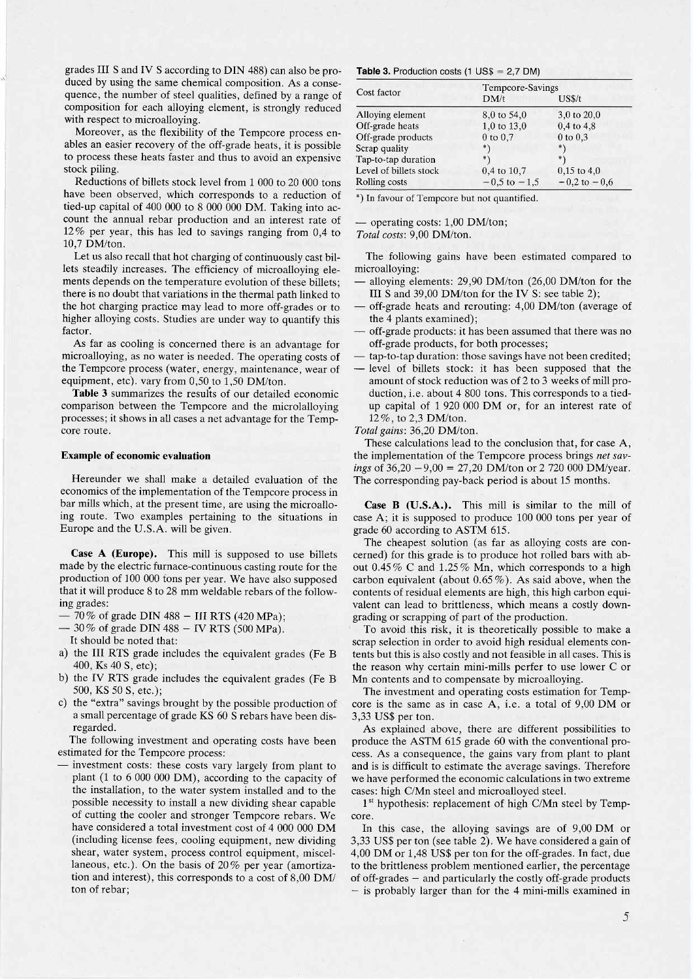grades III S and IV S according to DIN 488) can also be produced by using the same chemical composition. As a consequence, the number of steel qualities, defined by a range of composition for each alloying element, is strongly reduced with respect to microalloying.

Moreover, as the flexibility of the Tempcore process enables an easier recovery of the off-grade heats, it is possible to process these heats faster and thus to avoid an expensive stock piling.

Reductions of bilets stock level from 1 000 to 20 000 tons have been observed, which corresponds to a reduction of tied-up capital of 400 000 to 8 000 000 DM. Taking into account the annual rebar production and an interest rate of 12 % per year, this has led to savings ranging from 0,4 to 10,7 DM/ton.

Let us also recall that hot charging of continuously cast billets steadily increases. The efficiency of microalloying elements depends on the temperature evolution of these billets; there is no doubt that variations in the thermal path linked to the hot charging practice may lead to more off-grades or to higher alloying costs. Studies are under way to quantify this factor.

As far as cooling is concerned there is an advantage for microalloying, as no water is needed. The operating costs of the Tempcore process (water, energy, maintenance, wear of equipment, etc). vary from 0,50 to 1,50 DM/ton.

Table 3 summarizes the results of our detailed economic comparison between the Tempcore and the microlalloying processes; it shows in all cases a net advantage for the Tempcore route.

## Example of economic evaluation

Hereunder we shall make a detailed evaluation of the economics of the implementation of the Tempcore process in bar mills which, at the present time, are using the microalloing route. Two examples pertaining to the situations in Europe and the U.S.A. will be given.

Case A (Europe). This mill is supposed to use billets made by the electric furnace-continuous casting route for the production of 100 000 tons per year. We have also supposed that it will produce 8 to 28 mm weldable rebars of the following grades:

- 70% of grade DIN 488 II RTS (420 MPa);
- $-30\%$  of grade DIN 488  $-$  IV RTS (500 MPa).

It should be noted that:

- a) the III RTS grade includes the equivalent grades (Fe B 400, Ks 40 S, etc);
- b) the IV RTS grade includes the equivalent grades (Fe B 500, KS 50 S, etc.);
- c) the "extra" savings brought by the possible production of ' a small percentage of grade KS 60 S rebars have been disregarded.

The following investment and operating costs have been estimated for the Tempcore process:

- investment costs: these costs vary largely from plant to plant (1 to 6 000 000 DM), according to the capacity of the installation, to the water system installed and to the possible necessity to install a new dividing shear capable of cutting the cooler and stronger Tempcore rebars. We have considered a total investment cost of 4 000 000 DM (including license fees, cooling equipment, new dividing shear, water system, process control equipment, miscellaneous, etc.). On the basis of 20% per year (amortization and interest), this corresponds to a cost of 8,00 DM/ ton of rebar;

#### **Table 3.** Production costs (1  $US$ = 2,7$  DM)

|                        |                  | Tempcore-Savings |  |  |  |
|------------------------|------------------|------------------|--|--|--|
| Cost factor            | DM/t             | US\$/t           |  |  |  |
| Alloying element       | 8,0 to 54,0      | 3,0 to 20,0      |  |  |  |
| Off-grade heats        | 1,0 to 13,0      | $0,4$ to $4,8$   |  |  |  |
| Off-grade products     | $0$ to $0.7$     | $0$ to $0,3$     |  |  |  |
| Scrap quality          | * \              | *\               |  |  |  |
| Tap-to-tap duration    |                  | *)               |  |  |  |
| Level of billets stock | 0,4 to 10,7      | $0.15$ to 4,0    |  |  |  |
| Rolling costs          | $-0.5$ to $-1.5$ | $-0.2$ to $-0.6$ |  |  |  |

\*) In favour of Tempcore but not quantified.

- operating costs: 1,00 DM/ton; Total costs: 9,00 DM/ton.

The following gains have been estimated compared to microalloying:

- $-$  alloying elements: 29,90 DM/ton (26,00 DM/ton for the III S and  $39,00$  DM/ton for the IV S: see table 2);
- off-grade heats and rerouting: 4,00 DM/ton (average of the 4 plants examined);
- off-grade products: it has been assumed that there was no off-grade products, for both processes;
- tap-to-tap duration: those savings have not been credited;
- level of billets stock: it has been supposed that the amount of stock reduction was of 2 to 3 weeks of mill production, i.e. about 4 800 tons. This corresponds to a tiedup capital of 1 920 000 DM or, for an interest rate of 12%, to 2,3 DM/ton.

Total gains: 36,20 DM/ton.

These calculations lead to the conclusion that, for case A, the implementation of the Tempcore process brings net savings of  $36.20 - 9.00 = 27.20$  DM/ton or 2 720 000 DM/year. The corresponding pay-back period is about 15 months.

Case B (U.S.A.). This mill is similar to the mill of case A; it is supposed to produce 100 000 tons per year of grade 60 according to ASTM 615.

The cheapest solution (as far as alloying costs are concerned) for this grade is to produce hot rolled bars with about 0.45 % C and 1.25 % Mn, which corresponds to a high carbon equivalent (about 0.65 %). As said above, when the contents of residual elements are high, this high carbon equivalent can lead to brittleness, which means a costly downgrading or scrapping of part of the production.

To avoid this risk, it is theoretically possible to make a scrap selection in order to avoid high residual elements contents but this is also costly and not feasible in all cases. This is the reason why certain mini-mills perfer to use lower C or Mn contents and to compensate by microalloying.

The investment and operating costs estimation for Tempcore is the same as in case A, i.e. a total of 9,00 DM or 3,33 US\$ per ton.

As explained above, there are different possibilities to produce the ASTM 615 grade 60 with the conventional process. As a consequence, the gains vary from plant to plant and is is difficult to estimate the average savings. Therefore we have performed the economic calculations in two extreme cases: high C/Mn steel and microalloyed steel.

 $1<sup>st</sup>$  hypothesis: replacement of high C/Mn steel by Tempcore.

In this case, the alloying savings are of 9,00 DM or 3,33 US\$ per ton (see table 2). We have considered a gain of 4,00 DM or 1,48 US\$ per ton for the off-grades. In fact, due to the brittleness problem mentioned earlier, the percentage of off-grades  $-$  and particularly the costly off-grade products  $-$  is probably larger than for the 4 mini-mills examined in